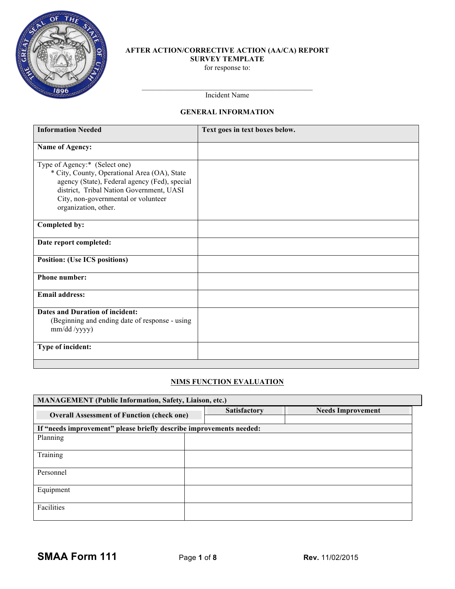

## **AFTER ACTION/CORRECTIVE ACTION (AA/CA) REPORT SURVEY TEMPLATE** for response to:

Incident Name

# **GENERAL INFORMATION**

| <b>Information Needed</b>                                                                                                                                                                                                                 | Text goes in text boxes below. |
|-------------------------------------------------------------------------------------------------------------------------------------------------------------------------------------------------------------------------------------------|--------------------------------|
| Name of Agency:                                                                                                                                                                                                                           |                                |
| Type of Agency:* (Select one)<br>* City, County, Operational Area (OA), State<br>agency (State), Federal agency (Fed), special<br>district, Tribal Nation Government, UASI<br>City, non-governmental or volunteer<br>organization, other. |                                |
| Completed by:                                                                                                                                                                                                                             |                                |
| Date report completed:                                                                                                                                                                                                                    |                                |
| <b>Position: (Use ICS positions)</b>                                                                                                                                                                                                      |                                |
| <b>Phone number:</b>                                                                                                                                                                                                                      |                                |
| <b>Email address:</b>                                                                                                                                                                                                                     |                                |
| <b>Dates and Duration of incident:</b><br>(Beginning and ending date of response - using<br>$mm/dd$ /yyyy)                                                                                                                                |                                |
| Type of incident:                                                                                                                                                                                                                         |                                |

# **NIMS FUNCTION EVALUATION**

| <b>MANAGEMENT</b> (Public Information, Safety, Liaison, etc.)       |                     |                          |  |  |  |  |  |
|---------------------------------------------------------------------|---------------------|--------------------------|--|--|--|--|--|
| <b>Overall Assessment of Function (check one)</b>                   | <b>Satisfactory</b> | <b>Needs Improvement</b> |  |  |  |  |  |
| If "needs improvement" please briefly describe improvements needed: |                     |                          |  |  |  |  |  |
| Planning                                                            |                     |                          |  |  |  |  |  |
| Training                                                            |                     |                          |  |  |  |  |  |
| Personnel                                                           |                     |                          |  |  |  |  |  |
| Equipment                                                           |                     |                          |  |  |  |  |  |
| Facilities                                                          |                     |                          |  |  |  |  |  |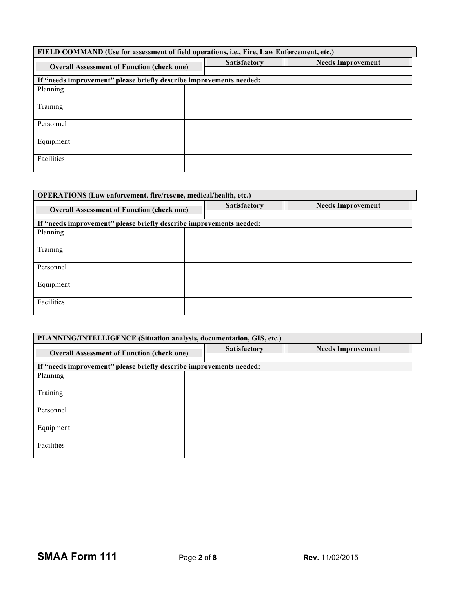| FIELD COMMAND (Use for assessment of field operations, i.e., Fire, Law Enforcement, etc.) |  |                     |                          |  |  |  |
|-------------------------------------------------------------------------------------------|--|---------------------|--------------------------|--|--|--|
| <b>Overall Assessment of Function (check one)</b>                                         |  | <b>Satisfactory</b> | <b>Needs Improvement</b> |  |  |  |
| If "needs improvement" please briefly describe improvements needed:                       |  |                     |                          |  |  |  |
| Planning                                                                                  |  |                     |                          |  |  |  |
| Training                                                                                  |  |                     |                          |  |  |  |
| Personnel                                                                                 |  |                     |                          |  |  |  |
| Equipment                                                                                 |  |                     |                          |  |  |  |
| Facilities                                                                                |  |                     |                          |  |  |  |

| <b>OPERATIONS</b> (Law enforcement, fire/rescue, medical/health, etc.) |  |                     |                          |  |  |  |
|------------------------------------------------------------------------|--|---------------------|--------------------------|--|--|--|
| <b>Overall Assessment of Function (check one)</b>                      |  | <b>Satisfactory</b> | <b>Needs Improvement</b> |  |  |  |
| If "needs improvement" please briefly describe improvements needed:    |  |                     |                          |  |  |  |
| Planning                                                               |  |                     |                          |  |  |  |
| Training                                                               |  |                     |                          |  |  |  |
|                                                                        |  |                     |                          |  |  |  |
| Personnel                                                              |  |                     |                          |  |  |  |
| Equipment                                                              |  |                     |                          |  |  |  |
| Facilities                                                             |  |                     |                          |  |  |  |

| PLANNING/INTELLIGENCE (Situation analysis, documentation, GIS, etc.) |  |                     |                          |  |  |  |
|----------------------------------------------------------------------|--|---------------------|--------------------------|--|--|--|
| <b>Overall Assessment of Function (check one)</b>                    |  | <b>Satisfactory</b> | <b>Needs Improvement</b> |  |  |  |
| If "needs improvement" please briefly describe improvements needed:  |  |                     |                          |  |  |  |
| Planning                                                             |  |                     |                          |  |  |  |
| Training                                                             |  |                     |                          |  |  |  |
| Personnel                                                            |  |                     |                          |  |  |  |
| Equipment                                                            |  |                     |                          |  |  |  |
| Facilities                                                           |  |                     |                          |  |  |  |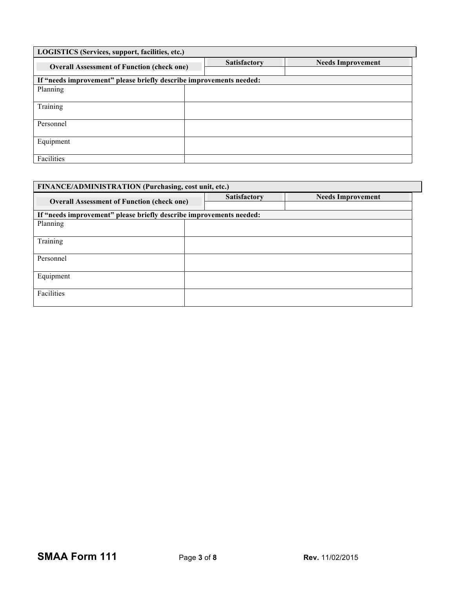| LOGISTICS (Services, support, facilities, etc.)                     |  |                     |                          |  |  |  |
|---------------------------------------------------------------------|--|---------------------|--------------------------|--|--|--|
| <b>Overall Assessment of Function (check one)</b>                   |  | <b>Satisfactory</b> | <b>Needs Improvement</b> |  |  |  |
| If "needs improvement" please briefly describe improvements needed: |  |                     |                          |  |  |  |
| Planning                                                            |  |                     |                          |  |  |  |
| Training                                                            |  |                     |                          |  |  |  |
| Personnel                                                           |  |                     |                          |  |  |  |
| Equipment                                                           |  |                     |                          |  |  |  |
| Facilities                                                          |  |                     |                          |  |  |  |

| FINANCE/ADMINISTRATION (Purchasing, cost unit, etc.)                |  |                     |                          |  |  |  |
|---------------------------------------------------------------------|--|---------------------|--------------------------|--|--|--|
| <b>Overall Assessment of Function (check one)</b>                   |  | <b>Satisfactory</b> | <b>Needs Improvement</b> |  |  |  |
| If "needs improvement" please briefly describe improvements needed: |  |                     |                          |  |  |  |
| Planning                                                            |  |                     |                          |  |  |  |
| Training                                                            |  |                     |                          |  |  |  |
| Personnel                                                           |  |                     |                          |  |  |  |
| Equipment                                                           |  |                     |                          |  |  |  |
| Facilities                                                          |  |                     |                          |  |  |  |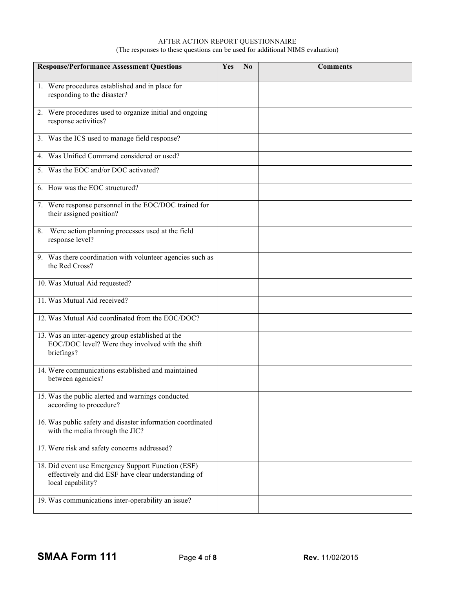#### AFTER ACTION REPORT QUESTIONNAIRE (The responses to these questions can be used for additional NIMS evaluation)

| <b>Response/Performance Assessment Questions</b>                                                                               | Yes | $\bf No$ | <b>Comments</b> |
|--------------------------------------------------------------------------------------------------------------------------------|-----|----------|-----------------|
| 1. Were procedures established and in place for<br>responding to the disaster?                                                 |     |          |                 |
| 2. Were procedures used to organize initial and ongoing<br>response activities?                                                |     |          |                 |
| 3. Was the ICS used to manage field response?                                                                                  |     |          |                 |
| 4. Was Unified Command considered or used?                                                                                     |     |          |                 |
| 5. Was the EOC and/or DOC activated?                                                                                           |     |          |                 |
| 6. How was the EOC structured?                                                                                                 |     |          |                 |
| 7. Were response personnel in the EOC/DOC trained for<br>their assigned position?                                              |     |          |                 |
| 8. Were action planning processes used at the field<br>response level?                                                         |     |          |                 |
| 9. Was there coordination with volunteer agencies such as<br>the Red Cross?                                                    |     |          |                 |
| 10. Was Mutual Aid requested?                                                                                                  |     |          |                 |
| 11. Was Mutual Aid received?                                                                                                   |     |          |                 |
| 12. Was Mutual Aid coordinated from the EOC/DOC?                                                                               |     |          |                 |
| 13. Was an inter-agency group established at the<br>EOC/DOC level? Were they involved with the shift<br>briefings?             |     |          |                 |
| 14. Were communications established and maintained<br>between agencies?                                                        |     |          |                 |
| 15. Was the public alerted and warnings conducted<br>according to procedure?                                                   |     |          |                 |
| 16. Was public safety and disaster information coordinated<br>with the media through the JIC?                                  |     |          |                 |
| 17. Were risk and safety concerns addressed?                                                                                   |     |          |                 |
| 18. Did event use Emergency Support Function (ESF)<br>effectively and did ESF have clear understanding of<br>local capability? |     |          |                 |
| 19. Was communications inter-operability an issue?                                                                             |     |          |                 |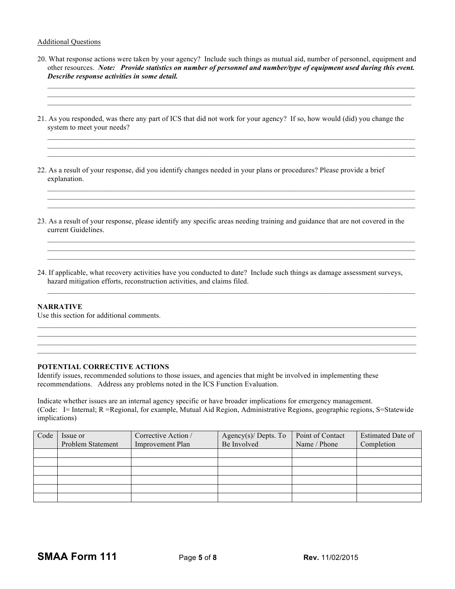# Additional Questions

20. What response actions were taken by your agency? Include such things as mutual aid, number of personnel, equipment and other resources. *Note: Provide statistics on number of personnel and number/type of equipment used during this event. Describe response activities in some detail.*

 $\_$  , and the state of the state of the state of the state of the state of the state of the state of the state of the state of the state of the state of the state of the state of the state of the state of the state of the  $\_$  , and the state of the state of the state of the state of the state of the state of the state of the state of the state of the state of the state of the state of the state of the state of the state of the state of the

 $\_$  , and the state of the state of the state of the state of the state of the state of the state of the state of the state of the state of the state of the state of the state of the state of the state of the state of the  $\mathcal{L}_\text{max}$ 

 $\_$  , and the state of the state of the state of the state of the state of the state of the state of the state of the state of the state of the state of the state of the state of the state of the state of the state of the  $\_$  , and the state of the state of the state of the state of the state of the state of the state of the state of the state of the state of the state of the state of the state of the state of the state of the state of the

 $\_$  , and the state of the state of the state of the state of the state of the state of the state of the state of the state of the state of the state of the state of the state of the state of the state of the state of the  $\mathcal{L}_\text{max}$ 

21. As you responded, was there any part of ICS that did not work for your agency? If so, how would (did) you change the system to meet your needs?

22. As a result of your response, did you identify changes needed in your plans or procedures? Please provide a brief explanation.

- 23. As a result of your response, please identify any specific areas needing training and guidance that are not covered in the current Guidelines.
- 24. If applicable, what recovery activities have you conducted to date? Include such things as damage assessment surveys, hazard mitigation efforts, reconstruction activities, and claims filed.

 $\mathcal{L}_\text{max} = \frac{1}{2} \sum_{i=1}^n \mathcal{L}_\text{max} = \frac{1}{2} \sum_{i=1}^n \mathcal{L}_\text{max} = \frac{1}{2} \sum_{i=1}^n \mathcal{L}_\text{max} = \frac{1}{2} \sum_{i=1}^n \mathcal{L}_\text{max} = \frac{1}{2} \sum_{i=1}^n \mathcal{L}_\text{max} = \frac{1}{2} \sum_{i=1}^n \mathcal{L}_\text{max} = \frac{1}{2} \sum_{i=1}^n \mathcal{L}_\text{max} = \frac{1}{2} \sum_{i=$ 

 $\_$  , and the state of the state of the state of the state of the state of the state of the state of the state of the state of the state of the state of the state of the state of the state of the state of the state of the  $\mathcal{L}_\text{max} = \frac{1}{2} \sum_{i=1}^n \mathcal{L}_\text{max} = \frac{1}{2} \sum_{i=1}^n \mathcal{L}_\text{max} = \frac{1}{2} \sum_{i=1}^n \mathcal{L}_\text{max} = \frac{1}{2} \sum_{i=1}^n \mathcal{L}_\text{max} = \frac{1}{2} \sum_{i=1}^n \mathcal{L}_\text{max} = \frac{1}{2} \sum_{i=1}^n \mathcal{L}_\text{max} = \frac{1}{2} \sum_{i=1}^n \mathcal{L}_\text{max} = \frac{1}{2} \sum_{i=$ 

# **NARRATIVE**

Use this section for additional comments.

#### **POTENTIAL CORRECTIVE ACTIONS**

Identify issues, recommended solutions to those issues, and agencies that might be involved in implementing these recommendations. Address any problems noted in the ICS Function Evaluation.

Indicate whether issues are an internal agency specific or have broader implications for emergency management. (Code: I= Internal; R =Regional, for example, Mutual Aid Region, Administrative Regions, geographic regions, S=Statewide implications)

| Code | Issue or<br>Problem Statement | Corrective Action /<br><b>Improvement Plan</b> | Agency $(s)$ Depts. To<br>Be Involved | Point of Contact<br>Name / Phone | Estimated Date of<br>Completion |
|------|-------------------------------|------------------------------------------------|---------------------------------------|----------------------------------|---------------------------------|
|      |                               |                                                |                                       |                                  |                                 |
|      |                               |                                                |                                       |                                  |                                 |
|      |                               |                                                |                                       |                                  |                                 |
|      |                               |                                                |                                       |                                  |                                 |
|      |                               |                                                |                                       |                                  |                                 |
|      |                               |                                                |                                       |                                  |                                 |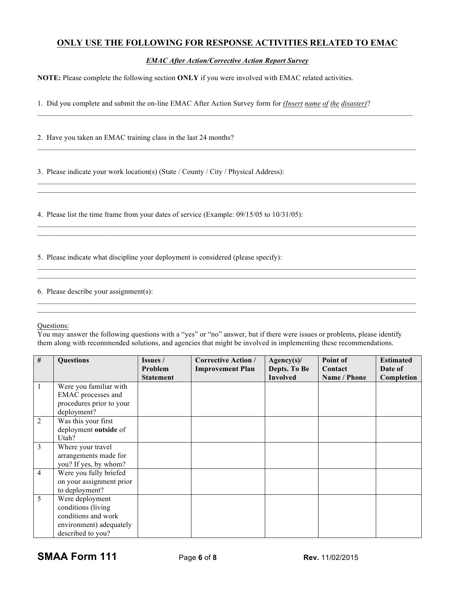# **ONLY USE THE FOLLOWING FOR RESPONSE ACTIVITIES RELATED TO EMAC**

*EMAC After Action/Corrective Action Report Survey*

 $\_$  , and the state of the state of the state of the state of the state of the state of the state of the state of the state of the state of the state of the state of the state of the state of the state of the state of the

 $\_$  , and the state of the state of the state of the state of the state of the state of the state of the state of the state of the state of the state of the state of the state of the state of the state of the state of the

 $\_$  , and the state of the state of the state of the state of the state of the state of the state of the state of the state of the state of the state of the state of the state of the state of the state of the state of the

 $\_$  , and the state of the state of the state of the state of the state of the state of the state of the state of the state of the state of the state of the state of the state of the state of the state of the state of the  $\mathcal{L}_\text{max} = \frac{1}{2} \sum_{i=1}^n \mathcal{L}_\text{max} = \frac{1}{2} \sum_{i=1}^n \mathcal{L}_\text{max} = \frac{1}{2} \sum_{i=1}^n \mathcal{L}_\text{max} = \frac{1}{2} \sum_{i=1}^n \mathcal{L}_\text{max} = \frac{1}{2} \sum_{i=1}^n \mathcal{L}_\text{max} = \frac{1}{2} \sum_{i=1}^n \mathcal{L}_\text{max} = \frac{1}{2} \sum_{i=1}^n \mathcal{L}_\text{max} = \frac{1}{2} \sum_{i=$ 

 $\mathcal{L}_\text{max} = \frac{1}{2} \sum_{i=1}^n \mathcal{L}_\text{max} = \frac{1}{2} \sum_{i=1}^n \mathcal{L}_\text{max} = \frac{1}{2} \sum_{i=1}^n \mathcal{L}_\text{max} = \frac{1}{2} \sum_{i=1}^n \mathcal{L}_\text{max} = \frac{1}{2} \sum_{i=1}^n \mathcal{L}_\text{max} = \frac{1}{2} \sum_{i=1}^n \mathcal{L}_\text{max} = \frac{1}{2} \sum_{i=1}^n \mathcal{L}_\text{max} = \frac{1}{2} \sum_{i=$ 

**NOTE:** Please complete the following section **ONLY** if you were involved with EMAC related activities.

1. Did you complete and submit the on-line EMAC After Action Survey form for *(Insert name of the disaster)*?

2. Have you taken an EMAC training class in the last 24 months?

3. Please indicate your work location(s) (State / County / City / Physical Address):

4. Please list the time frame from your dates of service (Example: 09/15/05 to 10/31/05):

5. Please indicate what discipline your deployment is considered (please specify):

6. Please describe your assignment(s):

## Questions:

You may answer the following questions with a "yes" or "no" answer, but if there were issues or problems, please identify them along with recommended solutions, and agencies that might be involved in implementing these recommendations.

| # | <b>Questions</b>                                                                                             | Issues /<br>Problem<br><b>Statement</b> | <b>Corrective Action /</b><br><b>Improvement Plan</b> | Agency(s)<br>Depts. To Be<br><b>Involved</b> | Point of<br>Contact<br>Name / Phone | <b>Estimated</b><br>Date of<br>Completion |
|---|--------------------------------------------------------------------------------------------------------------|-----------------------------------------|-------------------------------------------------------|----------------------------------------------|-------------------------------------|-------------------------------------------|
|   | Were you familiar with<br>EMAC processes and<br>procedures prior to your<br>deployment?                      |                                         |                                                       |                                              |                                     |                                           |
| 2 | Was this your first<br>deployment outside of<br>Utah?                                                        |                                         |                                                       |                                              |                                     |                                           |
| 3 | Where your travel<br>arrangements made for<br>you? If yes, by whom?                                          |                                         |                                                       |                                              |                                     |                                           |
| 4 | Were you fully briefed<br>on your assignment prior<br>to deployment?                                         |                                         |                                                       |                                              |                                     |                                           |
| 5 | Were deployment<br>conditions (living<br>conditions and work<br>environment) adequately<br>described to you? |                                         |                                                       |                                              |                                     |                                           |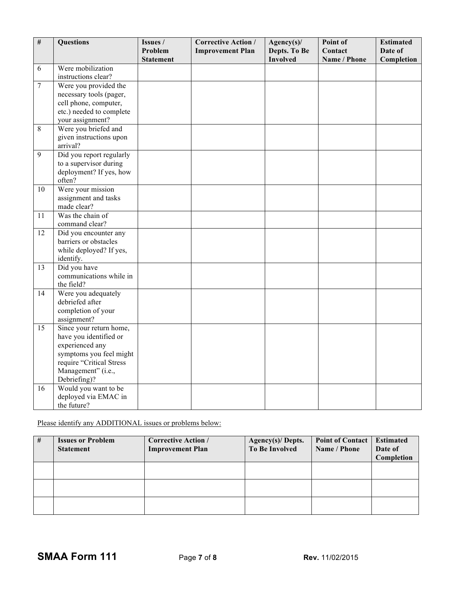| $\#$           | <b>Questions</b>                                  | Issues /<br>Problem | <b>Corrective Action /</b> | Agency(s)/<br>Depts. To Be | Point of<br>Contact | <b>Estimated</b><br>Date of |
|----------------|---------------------------------------------------|---------------------|----------------------------|----------------------------|---------------------|-----------------------------|
|                |                                                   | <b>Statement</b>    | <b>Improvement Plan</b>    | <b>Involved</b>            | Name / Phone        | Completion                  |
| 6              | Were mobilization                                 |                     |                            |                            |                     |                             |
|                | instructions clear?                               |                     |                            |                            |                     |                             |
| $\overline{7}$ | Were you provided the                             |                     |                            |                            |                     |                             |
|                | necessary tools (pager,                           |                     |                            |                            |                     |                             |
|                | cell phone, computer,<br>etc.) needed to complete |                     |                            |                            |                     |                             |
|                | your assignment?                                  |                     |                            |                            |                     |                             |
| 8              | Were you briefed and                              |                     |                            |                            |                     |                             |
|                | given instructions upon                           |                     |                            |                            |                     |                             |
|                | arrival?                                          |                     |                            |                            |                     |                             |
| $\overline{9}$ | Did you report regularly                          |                     |                            |                            |                     |                             |
|                | to a supervisor during                            |                     |                            |                            |                     |                             |
|                | deployment? If yes, how                           |                     |                            |                            |                     |                             |
| 10             | often?<br>Were your mission                       |                     |                            |                            |                     |                             |
|                | assignment and tasks                              |                     |                            |                            |                     |                             |
|                | made clear?                                       |                     |                            |                            |                     |                             |
| 11             | Was the chain of                                  |                     |                            |                            |                     |                             |
|                | command clear?                                    |                     |                            |                            |                     |                             |
| 12             | Did you encounter any                             |                     |                            |                            |                     |                             |
|                | barriers or obstacles                             |                     |                            |                            |                     |                             |
|                | while deployed? If yes,                           |                     |                            |                            |                     |                             |
| 13             | identify.<br>Did you have                         |                     |                            |                            |                     |                             |
|                | communications while in                           |                     |                            |                            |                     |                             |
|                | the field?                                        |                     |                            |                            |                     |                             |
| 14             | Were you adequately                               |                     |                            |                            |                     |                             |
|                | debriefed after                                   |                     |                            |                            |                     |                             |
|                | completion of your                                |                     |                            |                            |                     |                             |
| 15             | assignment?<br>Since your return home,            |                     |                            |                            |                     |                             |
|                | have you identified or                            |                     |                            |                            |                     |                             |
|                | experienced any                                   |                     |                            |                            |                     |                             |
|                | symptoms you feel might                           |                     |                            |                            |                     |                             |
|                | require "Critical Stress                          |                     |                            |                            |                     |                             |
|                | Management" (i.e.,                                |                     |                            |                            |                     |                             |
|                | Debriefing)?                                      |                     |                            |                            |                     |                             |
| 16             | Would you want to be                              |                     |                            |                            |                     |                             |
|                | deployed via EMAC in<br>the future?               |                     |                            |                            |                     |                             |
|                |                                                   |                     |                            |                            |                     |                             |

# Please identify any ADDITIONAL issues or problems below:

| # | <b>Issues or Problem</b><br><b>Statement</b> | <b>Corrective Action /</b><br><b>Improvement Plan</b> | Agency $(s)$ Depts.<br><b>To Be Involved</b> | <b>Point of Contact</b><br>Name / Phone | <b>Estimated</b><br>Date of<br>Completion |
|---|----------------------------------------------|-------------------------------------------------------|----------------------------------------------|-----------------------------------------|-------------------------------------------|
|   |                                              |                                                       |                                              |                                         |                                           |
|   |                                              |                                                       |                                              |                                         |                                           |
|   |                                              |                                                       |                                              |                                         |                                           |